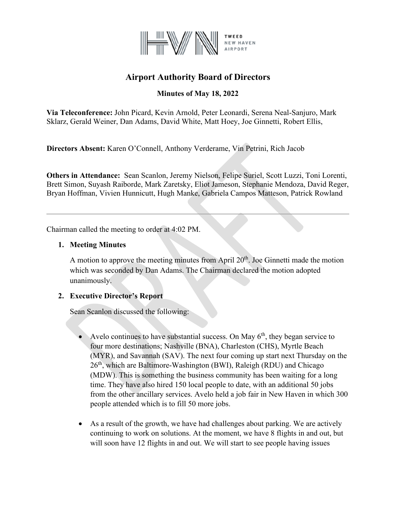

# **Airport Authority Board of Directors**

## **Minutes of May 18, 2022**

**Via Teleconference:** John Picard, Kevin Arnold, Peter Leonardi, Serena Neal-Sanjuro, Mark Sklarz, Gerald Weiner, Dan Adams, David White, Matt Hoey, Joe Ginnetti, Robert Ellis,

**Directors Absent:** Karen O'Connell, Anthony Verderame, Vin Petrini, Rich Jacob

**Others in Attendance:** Sean Scanlon, Jeremy Nielson, Felipe Suriel, Scott Luzzi, Toni Lorenti, Brett Simon, Suyash Raiborde, Mark Zaretsky, Eliot Jameson, Stephanie Mendoza, David Reger, Bryan Hoffman, Vivien Hunnicutt, Hugh Manke, Gabriela Campos Matteson, Patrick Rowland

Chairman called the meeting to order at 4:02 PM.

## **1. Meeting Minutes**

A motion to approve the meeting minutes from April  $20<sup>th</sup>$ . Joe Ginnetti made the motion which was seconded by Dan Adams. The Chairman declared the motion adopted unanimously.

## **2. Executive Director's Report**

Sean Scanlon discussed the following:

- Avelo continues to have substantial success. On May  $6<sup>th</sup>$ , they began service to four more destinations; Nashville (BNA), Charleston (CHS), Myrtle Beach (MYR), and Savannah (SAV). The next four coming up start next Thursday on the 26<sup>th</sup>, which are Baltimore-Washington (BWI), Raleigh (RDU) and Chicago (MDW). This is something the business community has been waiting for a long time. They have also hired 150 local people to date, with an additional 50 jobs from the other ancillary services. Avelo held a job fair in New Haven in which 300 people attended which is to fill 50 more jobs.
- As a result of the growth, we have had challenges about parking. We are actively continuing to work on solutions. At the moment, we have 8 flights in and out, but will soon have 12 flights in and out. We will start to see people having issues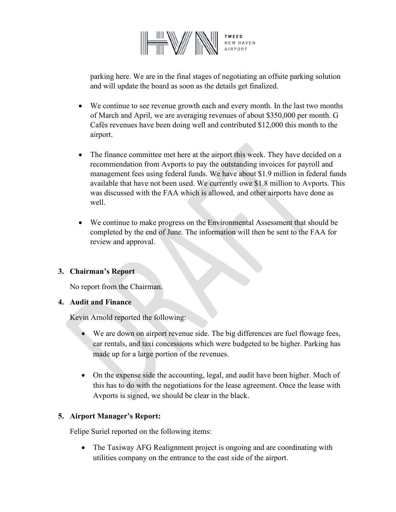

parking here. We are in the final stages of negotiating an offsite parking solution and will update the board as soon as the details get finalized.

- We continue to see revenue growth each and every month. In the last two months of March and April, we are averaging revenues of about \$350,000 per month. G Cafés revenues have been doing well and contributed \$12,000 this month to the airport.
- The finance committee met here at the airport this week. They have decided on a recommendation from Avports to pay the outstanding invoices for payroll and management fees using federal funds. We have about \$1.9 million in federal funds available that have not been used. We currently owe \$1.8 million to Avports. This was discussed with the FAA which is allowed, and other airports have done as well.
- We continue to make progress on the Environmental Assessment that should be completed by the end of June. The information will then be sent to the FAA for review and approval.

## **3. Chairman's Report**

No report from the Chairman.

## **4. Audit and Finance**

Kevin Arnold reported the following:

- We are down on airport revenue side. The big differences are fuel flowage fees, car rentals, and taxi concessions which were budgeted to be higher. Parking has made up for a large portion of the revenues.
- On the expense side the accounting, legal, and audit have been higher. Much of this has to do with the negotiations for the lease agreement. Once the lease with Avports is signed, we should be clear in the black.

## **5. Airport Manager's Report:**

Felipe Suriel reported on the following items:

• The Taxiway AFG Realignment project is ongoing and are coordinating with utilities company on the entrance to the east side of the airport.